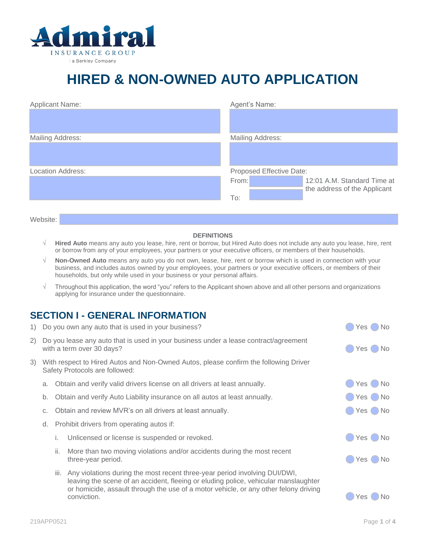

## **HIRED & NON-OWNED AUTO APPLICATION**

| <b>Applicant Name:</b>   | Agent's Name:                                                        |
|--------------------------|----------------------------------------------------------------------|
|                          |                                                                      |
|                          |                                                                      |
| <b>Mailing Address:</b>  | <b>Mailing Address:</b>                                              |
|                          |                                                                      |
| <b>Location Address:</b> | Proposed Effective Date:                                             |
|                          | From:<br>12:01 A.M. Standard Time at<br>the address of the Applicant |
|                          | To:                                                                  |
|                          |                                                                      |

Website:

## **DEFINITIONS**

- **Hired Auto** means any auto you lease, hire, rent or borrow, but Hired Auto does not include any auto you lease, hire, rent or borrow from any of your employees, your partners or your executive officers, or members of their households.
- **Non-Owned Auto** means any auto you do not own, lease, hire, rent or borrow which is used in connection with your business, and includes autos owned by your employees, your partners or your executive officers, or members of their households, but only while used in your business or your personal affairs.
- $\sqrt{\phantom{a}}$  Throughout this application, the word "you" refers to the Applicant shown above and all other persons and organizations applying for insurance under the questionnaire.

## **SECTION I - GENERAL INFORMATION**

1) Do you own any auto that is used in your business?  $\bullet$  Yes No

| 2) Do you lease any auto that is used in your business under a lease contract/agreement<br>with a term over 30 days?      |    |                                                                                                                                                                                                                                                                |                              | Yes (<br>◯ No |  |
|---------------------------------------------------------------------------------------------------------------------------|----|----------------------------------------------------------------------------------------------------------------------------------------------------------------------------------------------------------------------------------------------------------------|------------------------------|---------------|--|
| 3) With respect to Hired Autos and Non-Owned Autos, please confirm the following Driver<br>Safety Protocols are followed: |    |                                                                                                                                                                                                                                                                |                              |               |  |
|                                                                                                                           |    | a. Obtain and verify valid drivers license on all drivers at least annually.                                                                                                                                                                                   | $\bigcirc$ Yes $\bigcirc$ No |               |  |
| b.                                                                                                                        |    | Obtain and verify Auto Liability insurance on all autos at least annually.                                                                                                                                                                                     | $\bigcirc$ Yes $\bigcirc$ No |               |  |
| C.                                                                                                                        |    | Obtain and review MVR's on all drivers at least annually.                                                                                                                                                                                                      | $\bigcirc$ Yes $\bigcirc$ No |               |  |
| d. Prohibit drivers from operating autos if:                                                                              |    |                                                                                                                                                                                                                                                                |                              |               |  |
|                                                                                                                           | Ι. | Unlicensed or license is suspended or revoked.                                                                                                                                                                                                                 | $\bigcirc$ Yes $\bigcirc$ No |               |  |
|                                                                                                                           | Ш. | More than two moving violations and/or accidents during the most recent<br>three-year period.                                                                                                                                                                  | $\bigcirc$ Yes $\bigcirc$ No |               |  |
|                                                                                                                           |    | iii. Any violations during the most recent three-year period involving DUI/DWI,<br>leaving the scene of an accident, fleeing or eluding police, vehicular manslaughter<br>or homicide, assault through the use of a motor vehicle, or any other felony driving |                              |               |  |

conviction.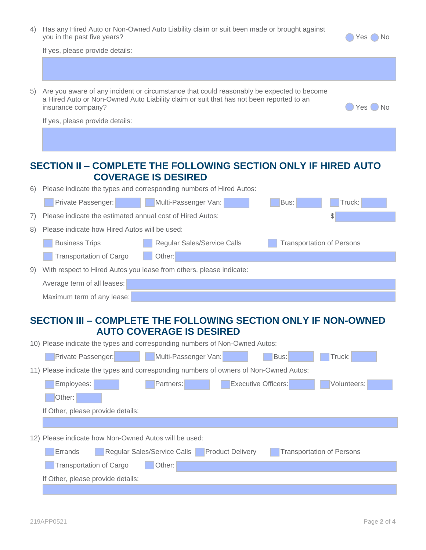| 4) Has any Hired Auto or Non-Owned Auto Liability claim or suit been made or brought against |
|----------------------------------------------------------------------------------------------|
| you in the past five years?                                                                  |

If yes, please provide details:

| 5) | Are you aware of any incident or circumstance that could reasonably be expected to become<br>a Hired Auto or Non-Owned Auto Liability claim or suit that has not been reported to an<br>insurance company?<br>Yes No |  |  |  |  |  |
|----|----------------------------------------------------------------------------------------------------------------------------------------------------------------------------------------------------------------------|--|--|--|--|--|
|    | If yes, please provide details:                                                                                                                                                                                      |  |  |  |  |  |
|    |                                                                                                                                                                                                                      |  |  |  |  |  |
|    |                                                                                                                                                                                                                      |  |  |  |  |  |
|    | SECTION II - COMPLETE THE FOLLOWING SECTION ONLY IF HIRED AUTO                                                                                                                                                       |  |  |  |  |  |
|    | <b>COVERAGE IS DESIRED</b>                                                                                                                                                                                           |  |  |  |  |  |
| 6) | Please indicate the types and corresponding numbers of Hired Autos:                                                                                                                                                  |  |  |  |  |  |
|    | Private Passenger:<br>Multi-Passenger Van:<br>Bus:<br>Truck:                                                                                                                                                         |  |  |  |  |  |
| 7) | Please indicate the estimated annual cost of Hired Autos:<br>\$                                                                                                                                                      |  |  |  |  |  |
| 8) | Please indicate how Hired Autos will be used:                                                                                                                                                                        |  |  |  |  |  |
|    | <b>Business Trips</b><br>Regular Sales/Service Calls<br><b>Transportation of Persons</b>                                                                                                                             |  |  |  |  |  |
|    | Other:<br><b>Transportation of Cargo</b>                                                                                                                                                                             |  |  |  |  |  |
| 9) | With respect to Hired Autos you lease from others, please indicate:                                                                                                                                                  |  |  |  |  |  |
|    | Average term of all leases:                                                                                                                                                                                          |  |  |  |  |  |
|    | Maximum term of any lease:                                                                                                                                                                                           |  |  |  |  |  |
|    | SECTION III – COMPLETE THE EOLLOWING SECTION ONLY IE NON-OWNED                                                                                                                                                       |  |  |  |  |  |
|    |                                                                                                                                                                                                                      |  |  |  |  |  |

## **SECTION III – COMPLETE THE FOLLOWING SECTION ONLY IF NON-OWNED AUTO COVERAGE IS DESIRED**

| 10) Please indicate the types and corresponding numbers of Non-Owned Autos:                           |  |  |  |  |  |
|-------------------------------------------------------------------------------------------------------|--|--|--|--|--|
| Multi-Passenger Van:<br>Truck:<br>Private Passenger:<br>Bus:                                          |  |  |  |  |  |
| 11) Please indicate the types and corresponding numbers of owners of Non-Owned Autos:                 |  |  |  |  |  |
| <b>Executive Officers:</b><br>Partners:<br>Employees:<br>Volunteers:                                  |  |  |  |  |  |
| Other:                                                                                                |  |  |  |  |  |
| If Other, please provide details:                                                                     |  |  |  |  |  |
|                                                                                                       |  |  |  |  |  |
| 12) Please indicate how Non-Owned Autos will be used:                                                 |  |  |  |  |  |
| <b>Product Delivery</b><br>Regular Sales/Service Calls<br><b>Transportation of Persons</b><br>Errands |  |  |  |  |  |
| <b>Transportation of Cargo</b><br>Other:                                                              |  |  |  |  |  |
| If Other, please provide details:                                                                     |  |  |  |  |  |
|                                                                                                       |  |  |  |  |  |

**ves ONo**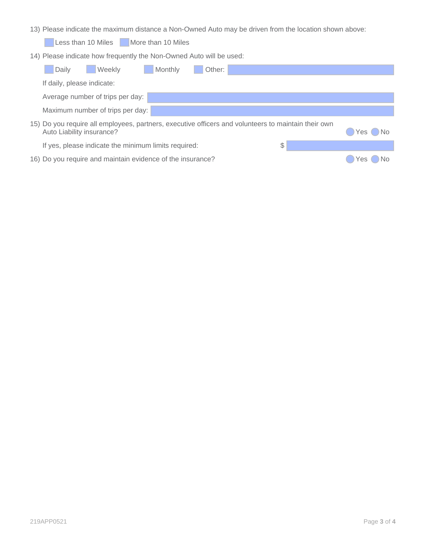13) Please indicate the maximum distance a Non-Owned Auto may be driven from the location shown above:

Less than 10 Miles More than 10 Miles

14) Please indicate how frequently the Non-Owned Auto will be used:

| <b>Weekly</b><br>Daily                                                                                                           | Monthly | Other: |    |         |
|----------------------------------------------------------------------------------------------------------------------------------|---------|--------|----|---------|
| If daily, please indicate:                                                                                                       |         |        |    |         |
| Average number of trips per day:                                                                                                 |         |        |    |         |
| Maximum number of trips per day:                                                                                                 |         |        |    |         |
| 15) Do you require all employees, partners, executive officers and volunteers to maintain their own<br>Auto Liability insurance? |         |        |    | Yes DNo |
| If yes, please indicate the minimum limits required:                                                                             |         |        | \$ |         |
| 16) Do you require and maintain evidence of the insurance?                                                                       |         |        |    | Yes     |